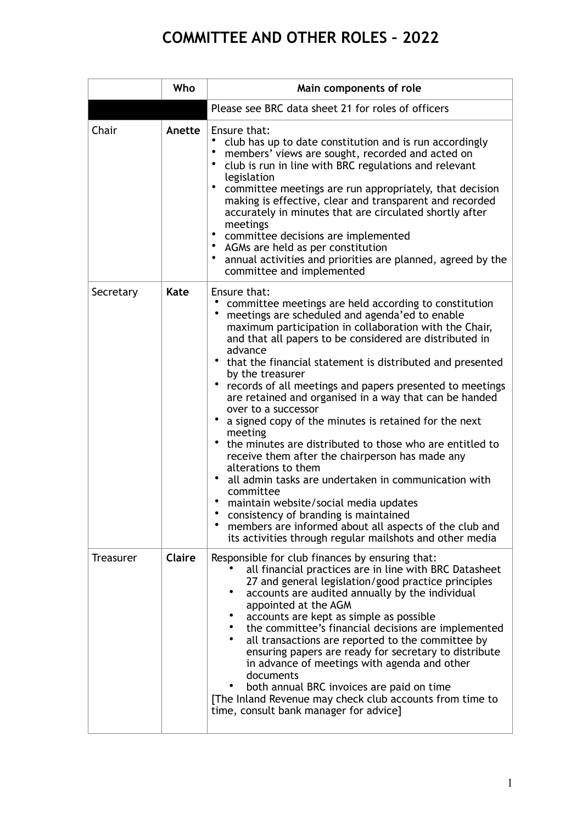## **COMMITTEE AND OTHER ROLES – 2022**

|                  | Who    | Main components of role                                                                                                                                                                                                                                                                                                                                                                                                                                                                                                                                                                                                                                                                                                                                                                                                                                                                                                                                                        |
|------------------|--------|--------------------------------------------------------------------------------------------------------------------------------------------------------------------------------------------------------------------------------------------------------------------------------------------------------------------------------------------------------------------------------------------------------------------------------------------------------------------------------------------------------------------------------------------------------------------------------------------------------------------------------------------------------------------------------------------------------------------------------------------------------------------------------------------------------------------------------------------------------------------------------------------------------------------------------------------------------------------------------|
|                  |        | Please see BRC data sheet 21 for roles of officers                                                                                                                                                                                                                                                                                                                                                                                                                                                                                                                                                                                                                                                                                                                                                                                                                                                                                                                             |
| Chair            | Anette | Ensure that:<br>club has up to date constitution and is run accordingly<br>٠<br>members' views are sought, recorded and acted on<br>$\bullet$<br>club is run in line with BRC regulations and relevant<br>legislation<br>٠<br>committee meetings are run appropriately, that decision<br>making is effective, clear and transparent and recorded<br>accurately in minutes that are circulated shortly after<br>meetings<br>$\bullet$<br>committee decisions are implemented<br>$\bullet$<br>AGMs are held as per constitution<br>٠<br>annual activities and priorities are planned, agreed by the<br>committee and implemented                                                                                                                                                                                                                                                                                                                                                 |
| Secretary        | Kate   | Ensure that:<br>committee meetings are held according to constitution<br>meetings are scheduled and agenda'ed to enable<br>maximum participation in collaboration with the Chair,<br>and that all papers to be considered are distributed in<br>advance<br>• that the financial statement is distributed and presented<br>by the treasurer<br>records of all meetings and papers presented to meetings<br>are retained and organised in a way that can be handed<br>over to a successor<br>a signed copy of the minutes is retained for the next<br>meeting<br>the minutes are distributed to those who are entitled to<br>receive them after the chairperson has made any<br>alterations to them<br>all admin tasks are undertaken in communication with<br>committee<br>maintain website/social media updates<br>consistency of branding is maintained<br>members are informed about all aspects of the club and<br>its activities through regular mailshots and other media |
| <b>Treasurer</b> | Claire | Responsible for club finances by ensuring that:<br>all financial practices are in line with BRC Datasheet<br>27 and general legislation/good practice principles<br>accounts are audited annually by the individual<br>appointed at the AGM<br>accounts are kept as simple as possible<br>the committee's financial decisions are implemented<br>all transactions are reported to the committee by<br>ensuring papers are ready for secretary to distribute<br>in advance of meetings with agenda and other<br>documents<br>both annual BRC invoices are paid on time<br>[The Inland Revenue may check club accounts from time to<br>time, consult bank manager for advice]                                                                                                                                                                                                                                                                                                    |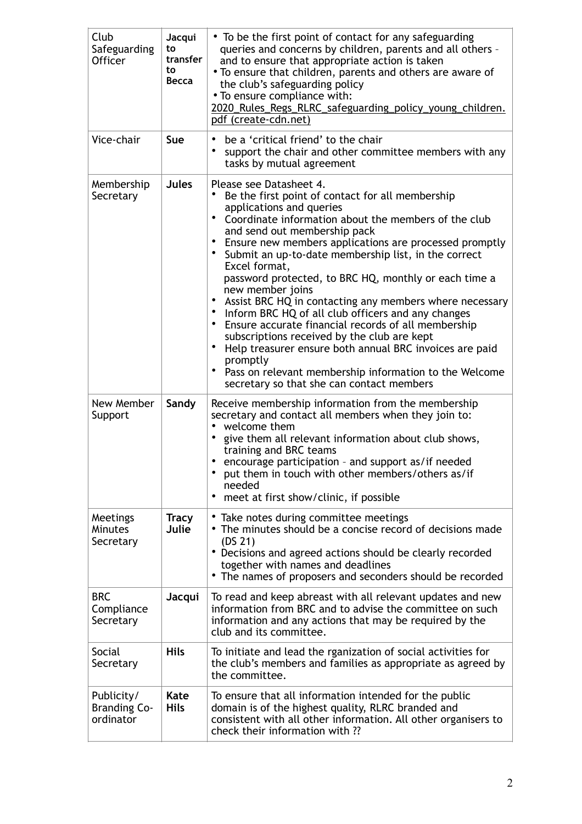| Club<br>Safeguarding<br><b>Officer</b>         | Jacqui<br>to<br>transfer<br>to<br><b>Becca</b> | • To be the first point of contact for any safeguarding<br>queries and concerns by children, parents and all others -<br>and to ensure that appropriate action is taken<br>• To ensure that children, parents and others are aware of<br>the club's safeguarding policy<br>• To ensure compliance with:<br>2020_Rules_Regs_RLRC_safeguarding_policy_young_children.                                                                                                                                                                                                                                                                                                                                                                                                                                                                                               |
|------------------------------------------------|------------------------------------------------|-------------------------------------------------------------------------------------------------------------------------------------------------------------------------------------------------------------------------------------------------------------------------------------------------------------------------------------------------------------------------------------------------------------------------------------------------------------------------------------------------------------------------------------------------------------------------------------------------------------------------------------------------------------------------------------------------------------------------------------------------------------------------------------------------------------------------------------------------------------------|
| Vice-chair                                     | Sue                                            | pdf (create-cdn.net)<br>be a 'critical friend' to the chair<br>support the chair and other committee members with any<br>tasks by mutual agreement                                                                                                                                                                                                                                                                                                                                                                                                                                                                                                                                                                                                                                                                                                                |
| Membership<br>Secretary                        | <b>Jules</b>                                   | Please see Datasheet 4.<br>Be the first point of contact for all membership<br>applications and queries<br>• Coordinate information about the members of the club<br>and send out membership pack<br>Ensure new members applications are processed promptly<br>٠<br>• Submit an up-to-date membership list, in the correct<br>Excel format,<br>password protected, to BRC HQ, monthly or each time a<br>new member joins<br>Assist BRC HQ in contacting any members where necessary<br>Inform BRC HQ of all club officers and any changes<br>$\bullet$<br>Ensure accurate financial records of all membership<br>$\bullet$<br>subscriptions received by the club are kept<br>Help treasurer ensure both annual BRC invoices are paid<br>٠<br>promptly<br>Pass on relevant membership information to the Welcome<br>٠<br>secretary so that she can contact members |
| New Member<br>Support                          | Sandy                                          | Receive membership information from the membership<br>secretary and contact all members when they join to:<br>welcome them<br>$\bullet$<br>give them all relevant information about club shows,<br>training and BRC teams<br>• encourage participation - and support as/if needed<br>• put them in touch with other members/others as/if<br>needed<br>meet at first show/clinic, if possible<br>٠                                                                                                                                                                                                                                                                                                                                                                                                                                                                 |
| Meetings<br>Minutes<br>Secretary               | <b>Tracy</b><br>Julie                          | • Take notes during committee meetings<br>• The minutes should be a concise record of decisions made<br>(DS <sub>21</sub> )<br>• Decisions and agreed actions should be clearly recorded<br>together with names and deadlines<br>• The names of proposers and seconders should be recorded                                                                                                                                                                                                                                                                                                                                                                                                                                                                                                                                                                        |
| <b>BRC</b><br>Compliance<br>Secretary          | Jacqui                                         | To read and keep abreast with all relevant updates and new<br>information from BRC and to advise the committee on such<br>information and any actions that may be required by the<br>club and its committee.                                                                                                                                                                                                                                                                                                                                                                                                                                                                                                                                                                                                                                                      |
| Social<br>Secretary                            | <b>Hils</b>                                    | To initiate and lead the rganization of social activities for<br>the club's members and families as appropriate as agreed by<br>the committee.                                                                                                                                                                                                                                                                                                                                                                                                                                                                                                                                                                                                                                                                                                                    |
| Publicity/<br><b>Branding Co-</b><br>ordinator | Kate<br><b>Hils</b>                            | To ensure that all information intended for the public<br>domain is of the highest quality, RLRC branded and<br>consistent with all other information. All other organisers to<br>check their information with ??                                                                                                                                                                                                                                                                                                                                                                                                                                                                                                                                                                                                                                                 |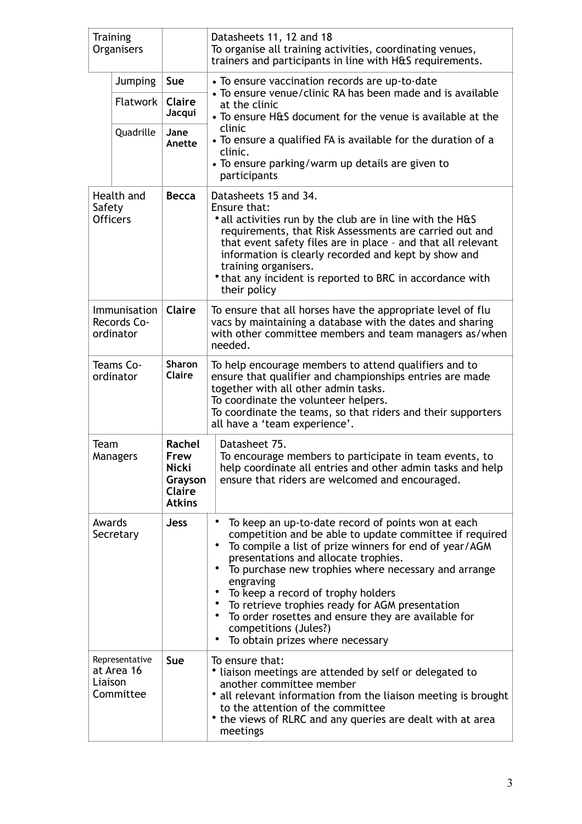| <b>Training</b><br>Organisers                   |                                           |                                                                      | Datasheets 11, 12 and 18<br>To organise all training activities, coordinating venues,<br>trainers and participants in line with H&S requirements.                                                                                                                                                                                                                                                                                                                                                                                                                                            |  |
|-------------------------------------------------|-------------------------------------------|----------------------------------------------------------------------|----------------------------------------------------------------------------------------------------------------------------------------------------------------------------------------------------------------------------------------------------------------------------------------------------------------------------------------------------------------------------------------------------------------------------------------------------------------------------------------------------------------------------------------------------------------------------------------------|--|
|                                                 | <b>Jumping</b>                            | <b>Sue</b>                                                           | • To ensure vaccination records are up-to-date                                                                                                                                                                                                                                                                                                                                                                                                                                                                                                                                               |  |
|                                                 | Flatwork                                  | <b>Claire</b><br>Jacqui                                              | • To ensure venue/clinic RA has been made and is available<br>at the clinic<br>• To ensure H&S document for the venue is available at the                                                                                                                                                                                                                                                                                                                                                                                                                                                    |  |
|                                                 | Quadrille                                 | Jane<br>Anette                                                       | clinic<br>• To ensure a qualified FA is available for the duration of a<br>clinic.<br>• To ensure parking/warm up details are given to<br>participants                                                                                                                                                                                                                                                                                                                                                                                                                                       |  |
| Safety                                          | Health and<br><b>Officers</b>             | <b>Becca</b>                                                         | Datasheets 15 and 34.<br>Ensure that:<br>• all activities run by the club are in line with the H&S<br>requirements, that Risk Assessments are carried out and<br>that event safety files are in place - and that all relevant<br>information is clearly recorded and kept by show and<br>training organisers.<br>• that any incident is reported to BRC in accordance with<br>their policy                                                                                                                                                                                                   |  |
| <i>Immunisation</i><br>Records Co-<br>ordinator |                                           | Claire                                                               | To ensure that all horses have the appropriate level of flu<br>vacs by maintaining a database with the dates and sharing<br>with other committee members and team managers as/when<br>needed.                                                                                                                                                                                                                                                                                                                                                                                                |  |
| Teams Co-<br>ordinator                          |                                           | <b>Sharon</b><br><b>Claire</b>                                       | To help encourage members to attend qualifiers and to<br>ensure that qualifier and championships entries are made<br>together with all other admin tasks.<br>To coordinate the volunteer helpers.<br>To coordinate the teams, so that riders and their supporters<br>all have a 'team experience'.                                                                                                                                                                                                                                                                                           |  |
| Team                                            | Managers                                  | Rachel<br>Frew<br>Nicki<br>Grayson<br><b>Claire</b><br><b>Atkins</b> | Datasheet 75.<br>To encourage members to participate in team events, to<br>help coordinate all entries and other admin tasks and help<br>ensure that riders are welcomed and encouraged.                                                                                                                                                                                                                                                                                                                                                                                                     |  |
| Awards                                          | Secretary                                 | <b>Jess</b>                                                          | $\bullet$<br>To keep an up-to-date record of points won at each<br>competition and be able to update committee if required<br>$\bullet$<br>To compile a list of prize winners for end of year/AGM<br>presentations and allocate trophies.<br>To purchase new trophies where necessary and arrange<br>$\bullet$<br>engraving<br>To keep a record of trophy holders<br>$\bullet$<br>To retrieve trophies ready for AGM presentation<br>$\bullet$<br>To order rosettes and ensure they are available for<br>$\bullet$<br>competitions (Jules?)<br>$\bullet$<br>To obtain prizes where necessary |  |
| Liaison                                         | Representative<br>at Area 16<br>Committee | <b>Sue</b>                                                           | To ensure that:<br>• liaison meetings are attended by self or delegated to<br>another committee member<br>• all relevant information from the liaison meeting is brought<br>to the attention of the committee<br>• the views of RLRC and any queries are dealt with at area<br>meetings                                                                                                                                                                                                                                                                                                      |  |